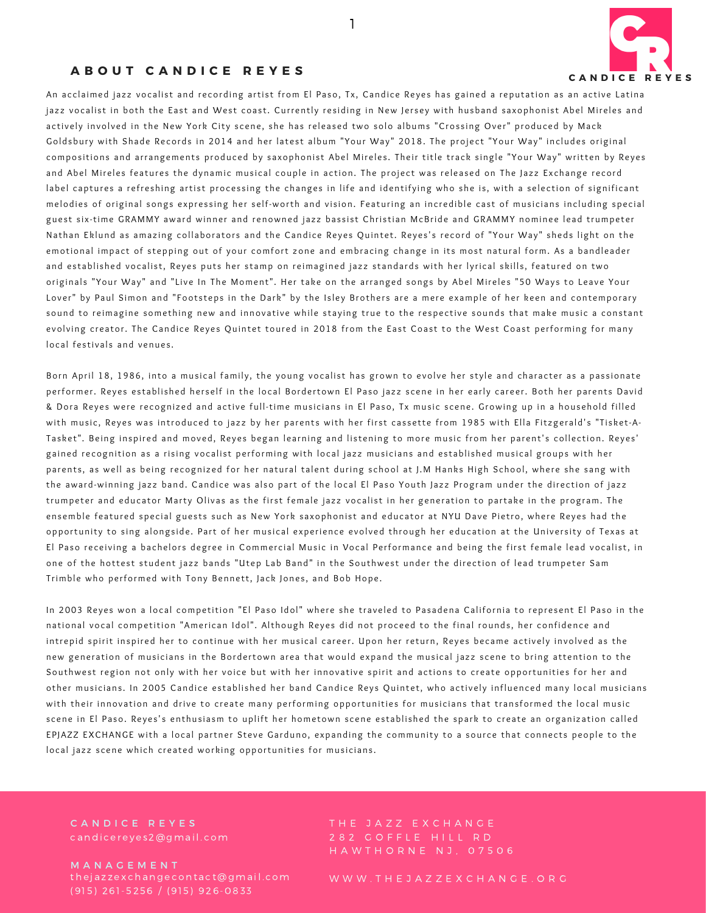

## **A B O U T C A N D I C E R E Y E S**

An acclaimed jazz vocalist and recording artist from El Paso, Tx. Candice Reves has gained a reputation as an active Latina jazz vocalist in both the East and West coast. Currently residing in New Jersey with husband saxophonist Abel Mireles and actively involved in the New York City scene, she has released two solo albums "Crossing Over" produced by Mack Goldsbury with Shade Records in 2014 and her latest album "Your Way" 2018. The project "Your Way" includes original compositions and arrangements produced by saxophonist Abel Mireles. Their title track single "Your Way" written by Reyes and Abel Mireles features the dynamic musical couple in action. The project was released on The Jazz Exchange record label captures a refreshing artist processing the changes in life and identifying who she is, with a selection of significant melodies of original songs expressing her self-worth and vision. Featuring an incredible cast of musicians including special guest six-time GRAMMY award winner and renowned jazz bassist Christian McBride and GRAMMY nominee lead trumpeter Nathan Eklund as amazing collaborators and the Candice Reyes Quintet. Reyes's record of "Your Way" sheds light on the emotional impact of stepping out of your comfort zone and embracing change in its most natural form. As a bandleader and established vocalist, Reyes puts her stamp on reimagined jazz standards with her lyrical skills, featured on two originals "Your Way" and "Live In The Moment". Her take on the arranged songs by Abel Mireles "50 Ways to Leave Your Lover" by Paul Simon and "Footsteps in the Dark" by the Isley Brothers are a mere example of her keen and contemporary sound to reimagine something new and innovative while staying true to the respective sounds that make music a constant evolving creator. The Candice Reves Quintet toured in 2018 from the East Coast to the West Coast performing for many local festivals and venues.

1

Born April 18, 1986, into a musical family, the young vocalist has grown to evolve her style and character as a passionate performer. Reyes established herself in the local Bordertown El Paso jazz scene in her early career. Both her parents David & Dora Reyes were recognized and active full-time musicians in El Paso, Tx music scene. Growing up in a household filled with music, Reyes was introduced to jazz by her parents with her first cassette from 1985 with Ella Fitzgerald's "Tisket-A-Tasket". Being inspired and moved, Reyes began learning and listening to more music from her parent's collection. Reyes' gained recognition as a rising vocalist performing with local jazz musicians and established musical groups with her parents, as well as being recognized for her natural talent during school at J.M Hanks High School, where she sang with the award-winning jazz band. Candice was also part of the local El Paso Youth Jazz Program under the direction of jazz trumpeter and educator Marty Olivas as the first female jazz vocalist in her generation to partake in the program. The ensemble featured special guests such as New York saxophonist and educator at NYU Dave Pietro, where Reyes had the opportunity to sing alongside. Part of her musical experience evolved through her education at the University of Texas at El Paso receiving a bachelors degree in Commercial Music in Vocal Performance and being the first female lead vocalist, in one of the hottest student jazz bands "Utep Lab Band" in the Southwest under the direction of lead trumpeter Sam Trimble who performed with Tony Bennett, Jack Jones, and Bob Hope.

In 2003 Reyes won a local competition "El Paso Idol" where she traveled to Pasadena California to represent El Paso in the national vocal competition "American Idol". Although Reyes did not proceed to the final rounds, her confidence and intrepid spirit inspired her to continue with her musical career. Upon her return, Reyes became actively involved as the new generation of musicians in the Bordertown area that would expand the musical jazz scene to bring attention to the Southwest region not only with her voice but with her innovative spirit and actions to create opportunities for her and other musicians. In 2005 Candice established her band Candice Reys Quintet, who actively influenced many local musicians with their innovation and drive to create many performing opportunities for musicians that transformed the local music scene in El Paso. Reyes's enthusiasm to uplift her hometown scene established the spark to create an organization called EPJAZZ EXCHANGE with a local partner Steve Garduno, expanding the community to a source that connects people to the local jazz scene which created working opportunities for musicians.

CANDICE REYES c andice rey es 2@gmail.com

the jazzex change contact@gmail.com (915) 261-5256 / (915) 926-0833 **MANAGEMENT** 

282 GOFFLE HILL RD

W W W . THE JAZZEX CHANGE . OR G